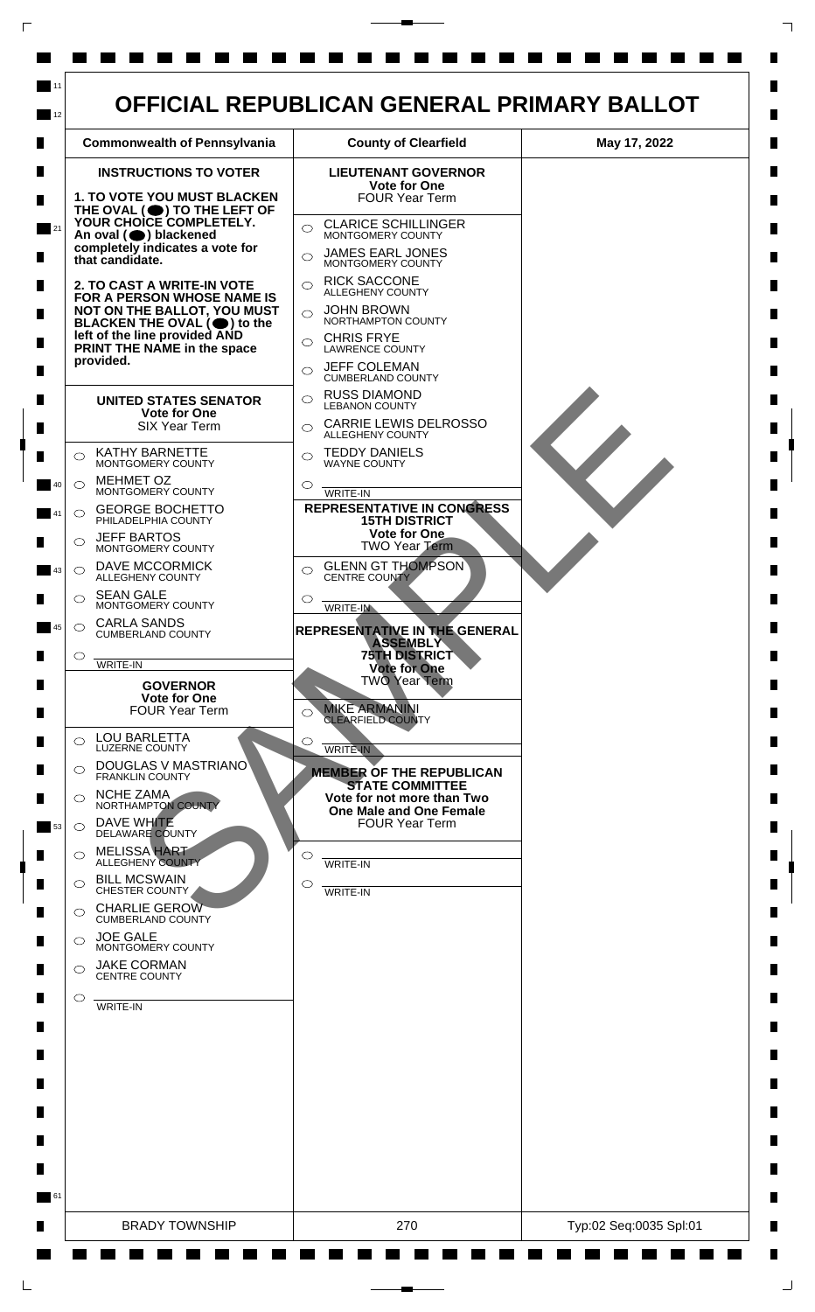

 $\mathsf{L}$ 

 $\Box$